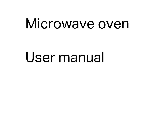# Microwave oven

# User manual